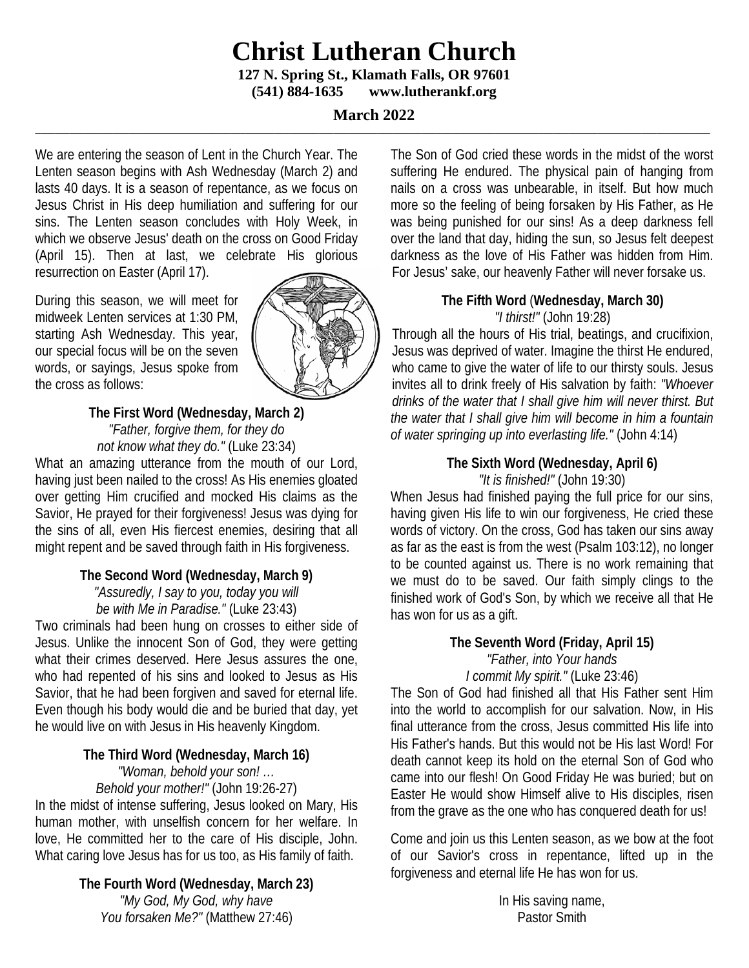# **Christ Lutheran Church**

**127 N. Spring St., Klamath Falls, OR 97601 (541) 884-1635 www.lutherankf.org**

#### **March 2022 \_\_\_\_\_\_\_\_\_\_\_\_\_\_\_\_\_\_\_\_\_\_\_\_\_\_\_\_\_\_\_\_\_\_\_\_\_\_\_\_\_\_\_\_\_\_\_\_\_\_\_\_\_\_\_\_\_\_\_\_\_\_\_\_\_\_\_\_\_\_\_\_\_\_\_\_\_\_\_\_\_\_\_\_\_\_\_\_\_\_\_\_\_\_\_\_\_\_\_\_\_\_\_\_\_\_\_\_\_\_\_\_\_\_\_\_\_\_\_\_\_\_\_\_\_\_\_\_\_\_\_\_\_\_\_\_\_\_**

We are entering the season of Lent in the Church Year. The Lenten season begins with Ash Wednesday (March 2) and lasts 40 days. It is a season of repentance, as we focus on Jesus Christ in His deep humiliation and suffering for our sins. The Lenten season concludes with Holy Week, in which we observe Jesus' death on the cross on Good Friday (April 15). Then at last, we celebrate His glorious resurrection on Easter (April 17).

During this season, we will meet for midweek Lenten services at 1:30 PM, starting Ash Wednesday. This year, our special focus will be on the seven words, or sayings, Jesus spoke from the cross as follows:



# **The First Word (Wednesday, March 2)** *"Father, forgive them, for they do not know what they do."* (Luke 23:34)

What an amazing utterance from the mouth of our Lord, having just been nailed to the cross! As His enemies gloated over getting Him crucified and mocked His claims as the Savior, He prayed for their forgiveness! Jesus was dying for the sins of all, even His fiercest enemies, desiring that all might repent and be saved through faith in His forgiveness.

#### **The Second Word (Wednesday, March 9)**

*"Assuredly, I say to you, today you will be with Me in Paradise."* (Luke 23:43)

Two criminals had been hung on crosses to either side of Jesus. Unlike the innocent Son of God, they were getting what their crimes deserved. Here Jesus assures the one, who had repented of his sins and looked to Jesus as His Savior, that he had been forgiven and saved for eternal life. Even though his body would die and be buried that day, yet he would live on with Jesus in His heavenly Kingdom.

## **The Third Word (Wednesday, March 16)** *"Woman, behold your son! …*

*Behold your mother!"* (John 19:26-27)

In the midst of intense suffering, Jesus looked on Mary, His human mother, with unselfish concern for her welfare. In love, He committed her to the care of His disciple, John. What caring love Jesus has for us too, as His family of faith.

> **The Fourth Word (Wednesday, March 23)** *"My God, My God, why have You forsaken Me?"* (Matthew 27:46)

The Son of God cried these words in the midst of the worst suffering He endured. The physical pain of hanging from nails on a cross was unbearable, in itself. But how much more so the feeling of being forsaken by His Father, as He was being punished for our sins! As a deep darkness fell over the land that day, hiding the sun, so Jesus felt deepest darkness as the love of His Father was hidden from Him. For Jesus' sake, our heavenly Father will never forsake us.

# **The Fifth Word** (**Wednesday, March 30)** *"I thirst!"* (John 19:28)

Through all the hours of His trial, beatings, and crucifixion, Jesus was deprived of water. Imagine the thirst He endured, who came to give the water of life to our thirsty souls. Jesus invites all to drink freely of His salvation by faith: *"Whoever drinks of the water that I shall give him will never thirst. But the water that I shall give him will become in him a fountain of water springing up into everlasting life."* (John 4:14)

## **The Sixth Word (Wednesday, April 6)** *"It is finished!"* (John 19:30)

When Jesus had finished paying the full price for our sins, having given His life to win our forgiveness, He cried these words of victory. On the cross, God has taken our sins away as far as the east is from the west (Psalm 103:12), no longer to be counted against us. There is no work remaining that we must do to be saved. Our faith simply clings to the finished work of God's Son, by which we receive all that He has won for us as a gift.

#### **The Seventh Word (Friday, April 15)** *"Father, into Your hands I commit My spirit."* (Luke 23:46)

The Son of God had finished all that His Father sent Him into the world to accomplish for our salvation. Now, in His final utterance from the cross, Jesus committed His life into His Father's hands. But this would not be His last Word! For death cannot keep its hold on the eternal Son of God who came into our flesh! On Good Friday He was buried; but on Easter He would show Himself alive to His disciples, risen from the grave as the one who has conquered death for us!

Come and join us this Lenten season, as we bow at the foot of our Savior's cross in repentance, lifted up in the forgiveness and eternal life He has won for us.

> In His saving name, Pastor Smith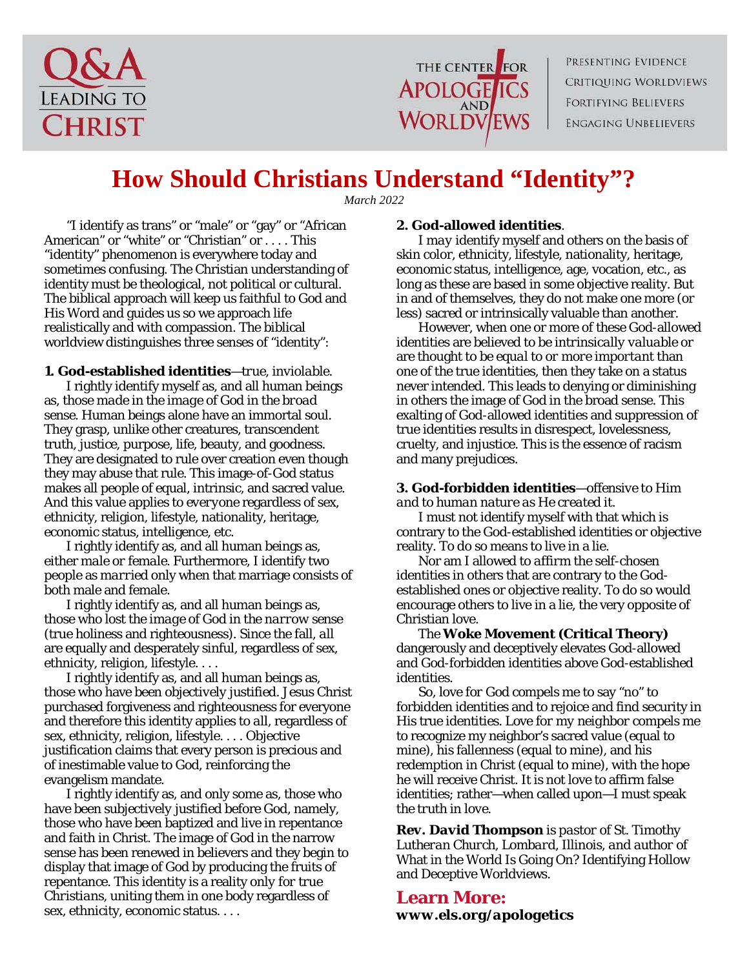



PRESENTING EVIDENCE Critiquing Worldviews FORTIFYING BELIEVERS **ENGAGING UNBELIEVERS** 

# **How Should Christians Understand "Identity"?**

*March 2022*

"I identify as trans" or "male" or "gay" or "African American" or "white" or "Christian" or . . . . This "identity" phenomenon is everywhere today and sometimes confusing. The Christian understanding of identity must be theological, not political or cultural. The biblical approach will keep us faithful to God and His Word and guides us so we approach life realistically and with compassion. The biblical worldview distinguishes three senses of "identity":

#### **1. God-established identities**—*true, inviolable*.

I rightly identify myself as, and all human beings as, those *made in the image of God in the broad sense*. Human beings alone have an immortal soul. They grasp, unlike other creatures, transcendent truth, justice, purpose, life, beauty, and goodness. They are designated to rule over creation even though they may abuse that rule. This image-of-God status makes all people of equal, intrinsic, and sacred value. And this value applies to *everyone* regardless of sex, ethnicity, religion, lifestyle, nationality, heritage, economic status, intelligence, etc.

I rightly identify as, and all human beings as, either *male or female*. Furthermore, I identify two people as *married* only when that marriage consists of both male and female.

I rightly identify as, and all human beings as, those who *lost the image of God in the narrow sense* (true holiness and righteousness). Since the fall, *all* are equally and desperately sinful, regardless of sex, ethnicity, religion, lifestyle. . . .

I rightly identify as, and all human beings as, those who have been *objectively justified*. Jesus Christ purchased forgiveness and righteousness for everyone and therefore this identity applies to *all*, regardless of sex, ethnicity, religion, lifestyle. . . . Objective justification claims that every person is precious and of inestimable value to God, reinforcing the evangelism mandate.

I rightly identify as, and only some as, those who have been *subjectively justified* before God, namely, those who have been baptized and live in repentance and faith in Christ. The image of God in the narrow sense has been renewed in believers and they begin to display that image of God by producing the fruits of repentance. This identity is a reality *only for true Christians*, uniting them in one body regardless of sex, ethnicity, economic status. . . .

#### **2. God-allowed identities**.

I *may* identify myself and others on the basis of skin color, ethnicity, lifestyle, nationality, heritage, economic status, intelligence, age, vocation, etc., as long as these are based in some objective reality. But in and of themselves, they do not make one more (or less) sacred or intrinsically valuable than another.

However, when one or more of these God-allowed identities are believed to be *intrinsically valuable* or are thought to be *equal to or more important* than one of the true identities, then they take on a status never intended. This leads to denying or diminishing in others the image of God in the broad sense. This exalting of God-allowed identities and suppression of true identities results in disrespect, lovelessness, cruelty, and injustice. This is the essence of racism and many prejudices.

#### **3. God-forbidden identities**—*offensive to Him and to human nature as He created it.*

I *must not* identify myself with that which is contrary to the God-established identities or objective reality. To do so means to live in a lie.

Nor am I allowed to *affirm* the self-chosen identities in others that are contrary to the Godestablished ones or objective reality. To do so would encourage others to live in a lie, the very opposite of Christian love.

The **Woke Movement (Critical Theory)** dangerously and deceptively elevates God-allowed and God-forbidden identities above God-established identities.

So, love *for God* compels me to say "no" to forbidden identities and to rejoice and find security in His true identities. Love *for my neighbor* compels me to recognize my neighbor's sacred value (equal to mine), his fallenness (equal to mine), and his redemption in Christ (equal to mine), with the hope he will receive Christ. It is not love to affirm false identities; rather—when called upon—I must speak *the truth in love*.

*Rev. David Thompson is pastor of St. Timothy Lutheran Church, Lombard, Illinois, and author of*  What in the World Is Going On? Identifying Hollow and Deceptive Worldviews*.*

## **Learn More:** *www.els.org/apologetics*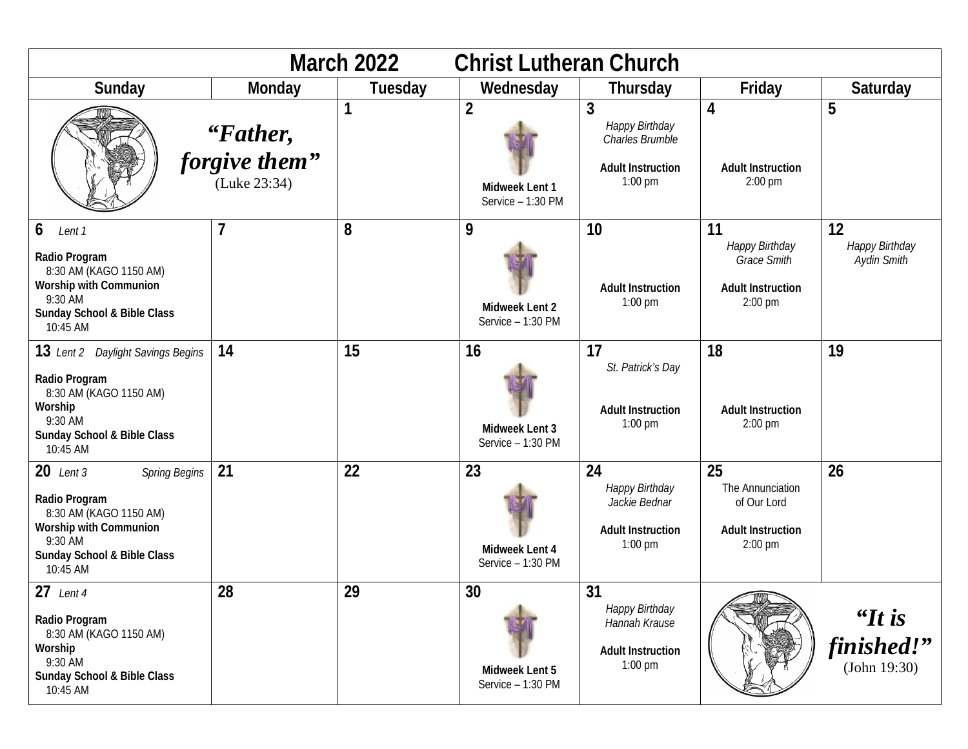| <b>March 2022</b><br><b>Christ Lutheran Church</b>                                                                                                             |                                           |           |                                                       |                                                                                 |                                                                                     |                                      |
|----------------------------------------------------------------------------------------------------------------------------------------------------------------|-------------------------------------------|-----------|-------------------------------------------------------|---------------------------------------------------------------------------------|-------------------------------------------------------------------------------------|--------------------------------------|
| Sunday                                                                                                                                                         | Monday                                    | Tuesday   | Wednesday                                             | Thursday                                                                        | Friday                                                                              | Saturday                             |
|                                                                                                                                                                | "Father,<br>forgive them"<br>(Luke 23:34) | 1         | $\overline{2}$<br>Midweek Lent 1<br>Service - 1:30 PM | 3<br>Happy Birthday<br>Charles Brumble<br><b>Adult Instruction</b><br>$1:00$ pm | 4<br><b>Adult Instruction</b><br>2:00 pm                                            | 5                                    |
| 6<br>Lent 1<br>Radio Program<br>8:30 AM (KAGO 1150 AM)<br><b>Worship with Communion</b><br>9:30 AM<br>Sunday School & Bible Class<br>10:45 AM                  | 7                                         | 8         | 9<br>Midweek Lent 2<br>Service - 1:30 PM              | 10<br><b>Adult Instruction</b><br>$1:00$ pm                                     | 11<br>Happy Birthday<br><b>Grace Smith</b><br><b>Adult Instruction</b><br>$2:00$ pm | 12<br>Happy Birthday<br>Aydin Smith  |
| 13 Lent 2 Daylight Savings Begins<br>Radio Program<br>8:30 AM (KAGO 1150 AM)<br>Worship<br>9:30 AM<br>Sunday School & Bible Class<br>10:45 AM                  | 14                                        | 15        | 16<br>Midweek Lent 3<br>Service - 1:30 PM             | 17<br>St. Patrick's Day<br><b>Adult Instruction</b><br>1:00 pm                  | 18<br><b>Adult Instruction</b><br>2:00 pm                                           | 19                                   |
| $20$ Lent 3<br><b>Spring Begins</b><br>Radio Program<br>8:30 AM (KAGO 1150 AM)<br>Worship with Communion<br>9:30 AM<br>Sunday School & Bible Class<br>10:45 AM | 21                                        | 22        | 23<br>Midweek Lent 4<br>Service - 1:30 PM             | 24<br>Happy Birthday<br>Jackie Bednar<br><b>Adult Instruction</b><br>$1:00$ pm  | 25<br>The Annunciation<br>of Our Lord<br><b>Adult Instruction</b><br>2:00 pm        | 26                                   |
| $27$ Lent 4<br>Radio Program<br>8:30 AM (KAGO 1150 AM)<br>Worship<br>9:30 AM<br>Sunday School & Bible Class<br>10:45 AM                                        | 28                                        | 29<br>L I | 30<br>Midweek Lent 5<br>Service - 1:30 PM             | 31<br>Happy Birthday<br>Hannah Krause<br><b>Adult Instruction</b><br>$1:00$ pm  |                                                                                     | $H$ is<br>finished!"<br>(John 19:30) |